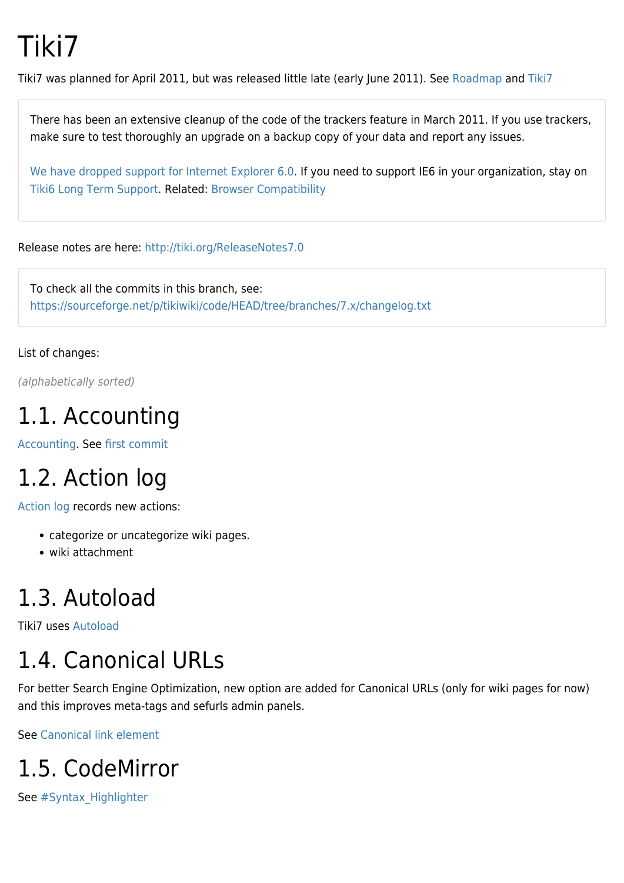# Tiki7

Tiki7 was planned for April 2011, but was released little late (early June 2011). See [Roadmap](http://dev.tiki.org/Roadmap) and [Tiki7](http://dev.tiki.org/Tiki7)

There has been an extensive cleanup of the code of the trackers feature in March 2011. If you use trackers, make sure to test thoroughly an upgrade on a backup copy of your data and report any issues.

[We have dropped support for Internet Explorer 6.0.](http://www.theie6countdown.com/) If you need to support IE6 in your organization, stay on [Tiki6](https://doc.tiki.org/Tiki6) [Long Term Support.](http://dev.tiki.org/Long%20Term%20Support) Related: [Browser Compatibility](http://dev.tiki.org/Browser%20Compatibility)

Release notes are here:<http://tiki.org/ReleaseNotes7.0>

To check all the commits in this branch, see: <https://sourceforge.net/p/tikiwiki/code/HEAD/tree/branches/7.x/changelog.txt>

List of changes:

(alphabetically sorted)

#### 1.1. Accounting

[Accounting.](https://doc.tiki.org/Accounting) See [first commit](http://tikiwiki.svn.sourceforge.net/viewvc/tikiwiki?view=revision&revision=30948)

## 1.2. Action log

[Action log](https://doc.tiki.org/Action%20log) records new actions:

- categorize or uncategorize wiki pages.
- wiki attachment

## 1.3. Autoload

Tiki7 uses [Autoload](http://php.net/manual/en/language.oop5.autoload.php)

# 1.4. Canonical URLs

For better Search Engine Optimization, new option are added for Canonical URLs (only for wiki pages for now) and this improves meta-tags and sefurls admin panels.

See [Canonical link element](https://doc.tiki.org/Canonical-link-element)

## 1.5. CodeMirror

See #Syntax Highlighter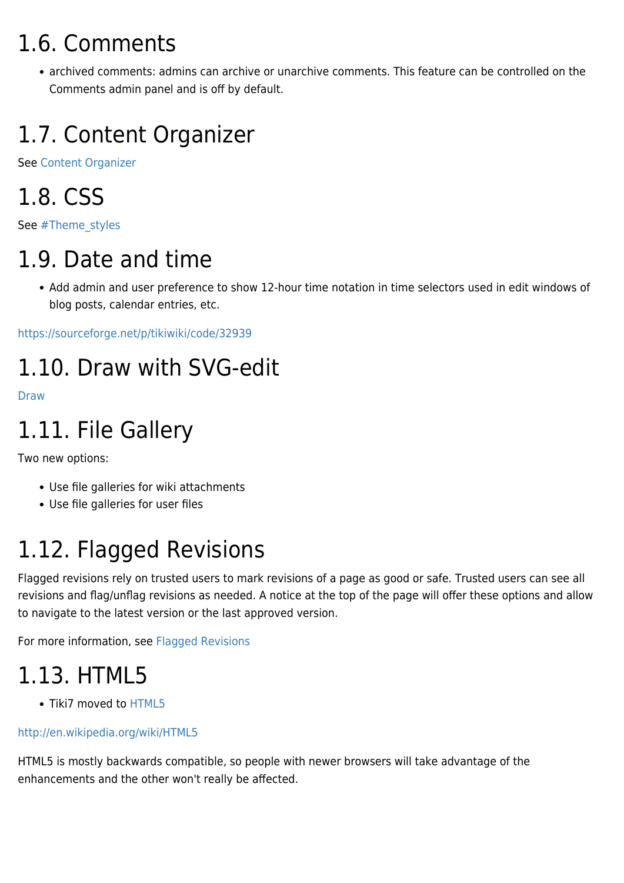### 1.6. Comments

archived comments: admins can archive or unarchive comments. This feature can be controlled on the Comments admin panel and is off by default.

# 1.7. Content Organizer

See [Content Organizer](https://doc.tiki.org/Content-Organizer)

## 1.8. CSS

See [#Theme\\_styles](#page--1-0)

# 1.9. Date and time

Add admin and user preference to show 12-hour time notation in time selectors used in edit windows of blog posts, calendar entries, etc.

<https://sourceforge.net/p/tikiwiki/code/32939>

## 1.10. Draw with SVG-edit

[Draw](https://doc.tiki.org/Draw)

# 1.11. File Gallery

Two new options:

- Use file galleries for wiki attachments
- Use file galleries for user files

# 1.12. Flagged Revisions

Flagged revisions rely on trusted users to mark revisions of a page as good or safe. Trusted users can see all revisions and flag/unflag revisions as needed. A notice at the top of the page will offer these options and allow to navigate to the latest version or the last approved version.

For more information, see [Flagged Revisions](https://doc.tiki.org/Flagged-Revisions)

# 1.13. HTML5

• Tiki7 moved to [HTML5](https://doc.tiki.org/HTML5)

#### <http://en.wikipedia.org/wiki/HTML5>

HTML5 is mostly backwards compatible, so people with newer browsers will take advantage of the enhancements and the other won't really be affected.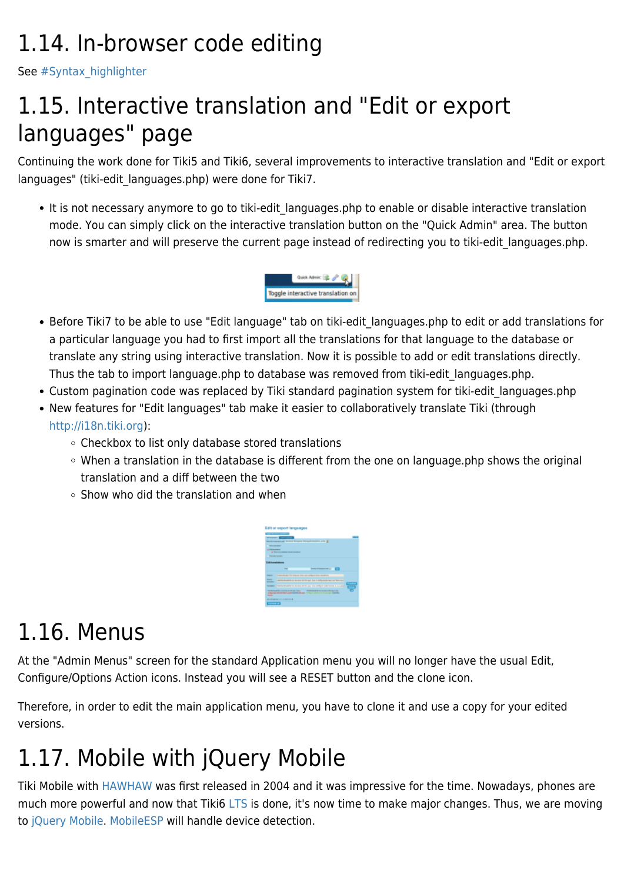## 1.14. In-browser code editing

See [#Syntax\\_highlighter](#page--1-0)

## 1.15. Interactive translation and "Edit or export languages" page

Continuing the work done for Tiki5 and Tiki6, several improvements to interactive translation and "Edit or export languages" (tiki-edit\_languages.php) were done for Tiki7.

• It is not necessary anymore to go to tiki-edit languages.php to enable or disable interactive translation mode. You can simply click on the interactive translation button on the "Quick Admin" area. The button now is smarter and will preserve the current page instead of redirecting you to tiki-edit languages.php.



- Before Tiki7 to be able to use "Edit language" tab on tiki-edit\_languages.php to edit or add translations for a particular language you had to first import all the translations for that language to the database or translate any string using interactive translation. Now it is possible to add or edit translations directly. Thus the tab to import language.php to database was removed from tiki-edit\_languages.php.
- Custom pagination code was replaced by Tiki standard pagination system for tiki-edit languages.php
- New features for "Edit languages" tab make it easier to collaboratively translate Tiki (through [http://i18n.tiki.org\)](http://i18n.tiki.org):
	- Checkbox to list only database stored translations
	- When a translation in the database is different from the one on language.php shows the original translation and a diff between the two
	- $\circ$  Show who did the translation and when



## 1.16. Menus

At the "Admin Menus" screen for the standard Application menu you will no longer have the usual Edit, Configure/Options Action icons. Instead you will see a RESET button and the clone icon.

Therefore, in order to edit the main application menu, you have to clone it and use a copy for your edited versions.

# 1.17. Mobile with jQuery Mobile

Tiki Mobile with [HAWHAW](http://www.hawhaw.de/) was first released in 2004 and it was impressive for the time. Nowadays, phones are much more powerful and now that Tiki6 [LTS](http://dev.tiki.org/Version%20lifecycle) is done, it's now time to make major changes. Thus, we are moving to [jQuery Mobile.](http://jquerymobile.com) [MobileESP](http://MobileESP.com) will handle device detection.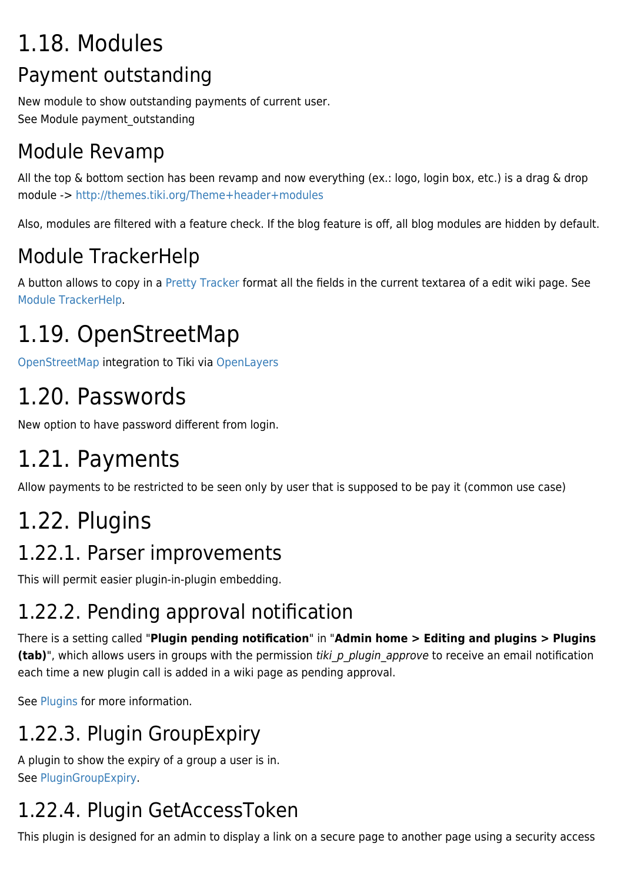## 1.18. Modules Payment outstanding

New module to show outstanding payments of current user. See Module payment outstanding

#### Module Revamp

All the top & bottom section has been revamp and now everything (ex.: logo, login box, etc.) is a drag & drop module -><http://themes.tiki.org/Theme+header+modules>

Also, modules are filtered with a feature check. If the blog feature is off, all blog modules are hidden by default.

### Module TrackerHelp

A button allows to copy in a [Pretty Tracker](https://doc.tiki.org/Pretty-Tracker) format all the fields in the current textarea of a edit wiki page. See [Module TrackerHelp](https://doc.tiki.org/Module-trackerhelp).

# 1.19. OpenStreetMap

[OpenStreetMap](https://doc.tiki.org/OpenStreetMap) integration to Tiki via [OpenLayers](http://openlayers.org/)

## 1.20. Passwords

New option to have password different from login.

# 1.21. Payments

Allow payments to be restricted to be seen only by user that is supposed to be pay it (common use case)

## 1.22. Plugins

#### 1.22.1. Parser improvements

This will permit easier plugin-in-plugin embedding.

#### 1.22.2. Pending approval notification

There is a setting called "**Plugin pending notification**" in "**Admin home > Editing and plugins > Plugins (tab)**", which allows users in groups with the permission tiki p plugin approve to receive an email notification each time a new plugin call is added in a wiki page as pending approval.

See [Plugins](https://doc.tiki.org/Plugins) for more information.

#### 1.22.3. Plugin GroupExpiry

A plugin to show the expiry of a group a user is in. See [PluginGroupExpiry](https://doc.tiki.org/PluginGroupExpiry).

## 1.22.4. Plugin GetAccessToken

This plugin is designed for an admin to display a link on a secure page to another page using a security access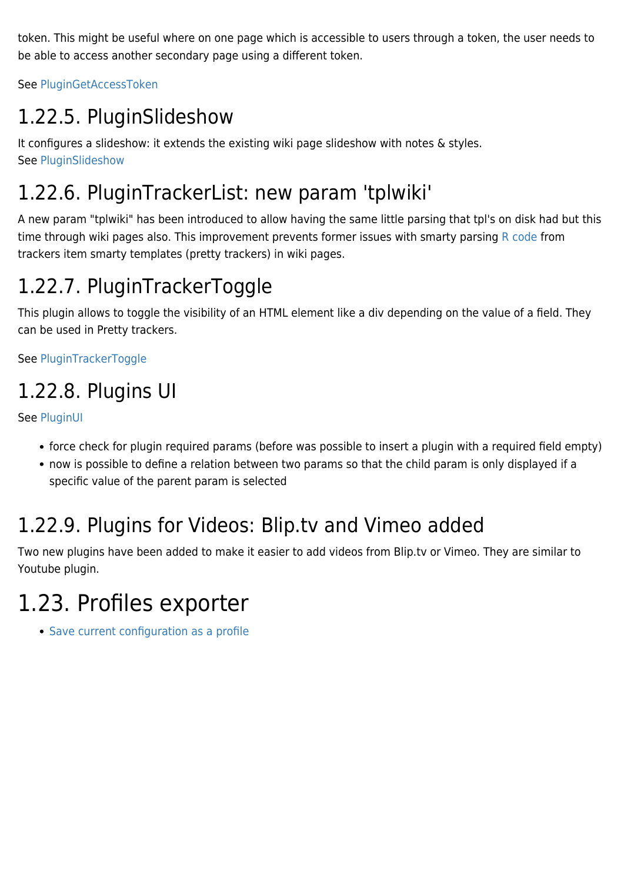token. This might be useful where on one page which is accessible to users through a token, the user needs to be able to access another secondary page using a different token.

See [PluginGetAccessToken](https://doc.tiki.org/PluginGetAccessToken)

#### 1.22.5. PluginSlideshow

It configures a slideshow: it extends the existing wiki page slideshow with notes & styles. See [PluginSlideshow](https://doc.tiki.org/PluginSlideshow)

#### 1.22.6. PluginTrackerList: new param 'tplwiki'

A new param "tplwiki" has been introduced to allow having the same little parsing that tpl's on disk had but this time through wiki pages also. This improvement prevents former issues with smarty parsing [R code](https://doc.tiki.org/PluginR) from trackers item smarty templates (pretty trackers) in wiki pages.

#### 1.22.7. PluginTrackerToggle

This plugin allows to toggle the visibility of an HTML element like a div depending on the value of a field. They can be used in Pretty trackers.

See [PluginTrackerToggle](https://doc.tiki.org/PluginTrackerToggle)

#### 1.22.8. Plugins UI

See [PluginUI](http://dev.tiki.org/PluginUI)

- force check for plugin required params (before was possible to insert a plugin with a required field empty)
- now is possible to define a relation between two params so that the child param is only displayed if a specific value of the parent param is selected

#### 1.22.9. Plugins for Videos: Blip.tv and Vimeo added

Two new plugins have been added to make it easier to add videos from Blip.tv or Vimeo. They are similar to Youtube plugin.

## 1.23. Profiles exporter

• [Save current configuration as a profile](http://profiles.tiki.org/Save%20current%20configuration%20as%20a%20profile)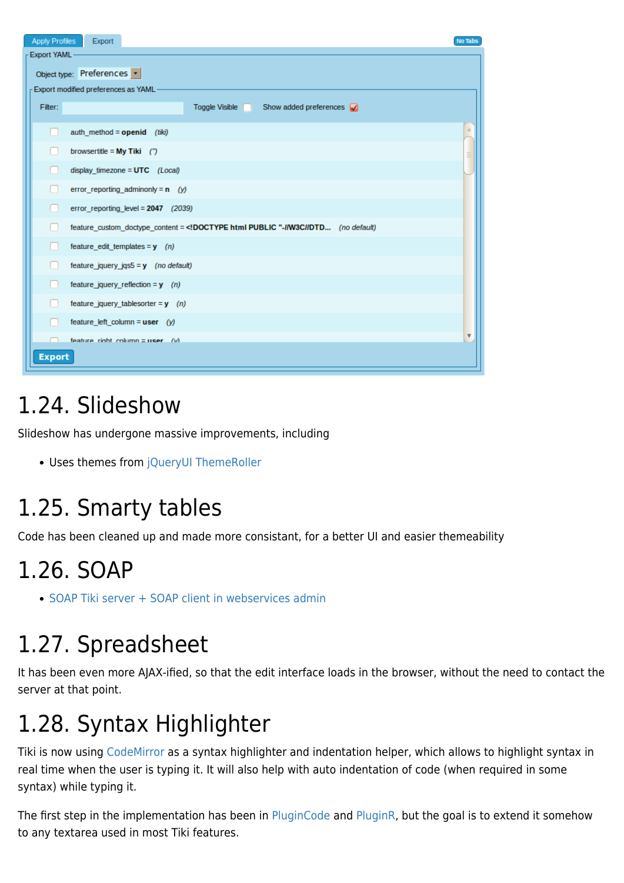| <b>Apply Profiles</b>                 | Export                                                                                       | <b>No Tabs</b>          |  |
|---------------------------------------|----------------------------------------------------------------------------------------------|-------------------------|--|
| Export YAML                           |                                                                                              |                         |  |
| Object type: Preferences              |                                                                                              |                         |  |
| - Export modified preferences as YAML |                                                                                              |                         |  |
| Filter:                               | Toggle Visible<br>Show added preferences $\sqrt{ }$                                          |                         |  |
|                                       | auth method = $openid$ (tiki)                                                                |                         |  |
|                                       | browsertitle = $My$ Tiki $('')$                                                              |                         |  |
|                                       | display timezone = $UTC$ (Local)                                                             |                         |  |
|                                       | error reporting adminonly = $n$ (y)                                                          |                         |  |
|                                       | error reporting level = $2047$ (2039)                                                        |                         |  |
|                                       | feature_custom_doctype_content = DOCTYPE html PUBLIC "-I/W3CI/DTD (no default)</td <td></td> |                         |  |
|                                       | feature_edit_templates = $y$ (n)                                                             |                         |  |
|                                       | feature_jquery_jqs5 = $y$ (no default)                                                       |                         |  |
|                                       | feature jquery reflection = $y$ (n)                                                          |                         |  |
|                                       | feature_jquery_tablesorter = $y$ (n)                                                         |                         |  |
|                                       | feature left column = $user (y)$                                                             |                         |  |
|                                       | feature right column $\equiv$ user (v)                                                       | $\overline{\mathbf{v}}$ |  |
| <b>Export</b>                         |                                                                                              |                         |  |

## 1.24. Slideshow

Slideshow has undergone massive improvements, including

• Uses themes from [jQueryUI ThemeRoller](http://jqueryui.com/themeroller/)

## 1.25. Smarty tables

Code has been cleaned up and made more consistant, for a better UI and easier themeability

#### 1.26. SOAP

• [SOAP Tiki server + SOAP client in webservices admin](http://tikiwiki.svn.sourceforge.net/viewvc/tikiwiki?view=revision&revision=31291)

## 1.27. Spreadsheet

It has been even more AJAX-ified, so that the edit interface loads in the browser, without the need to contact the server at that point.

## 1.28. Syntax Highlighter

Tiki is now using [CodeMirror](http://codemirror.net/) as a syntax highlighter and indentation helper, which allows to highlight syntax in real time when the user is typing it. It will also help with auto indentation of code (when required in some syntax) while typing it.

The first step in the implementation has been in [PluginCode](https://doc.tiki.org/PluginCode) and [PluginR](https://doc.tiki.org/PluginR), but the goal is to extend it somehow to any textarea used in most Tiki features.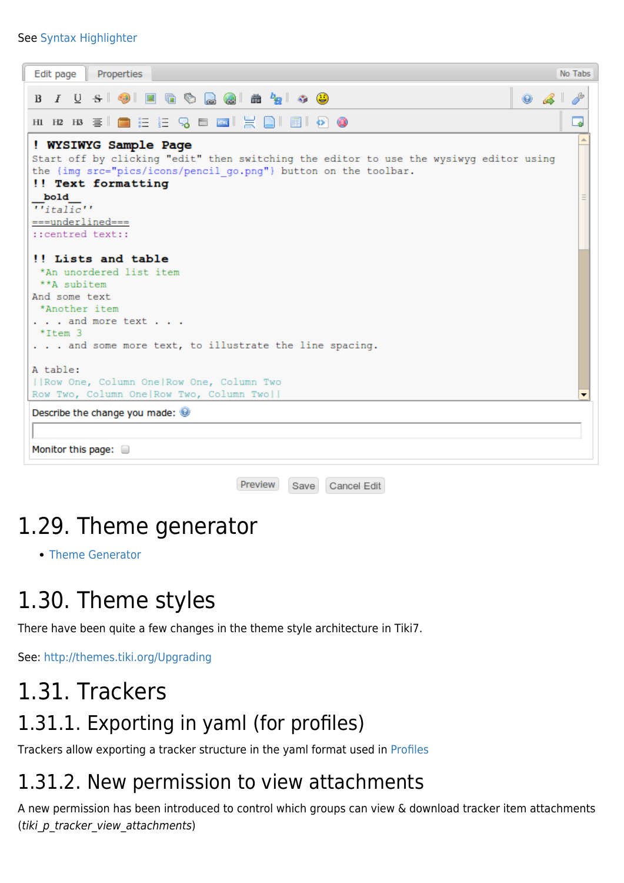#### See [Syntax Highlighter](https://doc.tiki.org/Syntax-Highlighter)

| Properties<br>Edit page                                                                                                                                                                                                                                         |   |  |  |
|-----------------------------------------------------------------------------------------------------------------------------------------------------------------------------------------------------------------------------------------------------------------|---|--|--|
| <b>BIUS OFFRESA 24 24 49</b><br>$\bullet$ $\bullet$                                                                                                                                                                                                             |   |  |  |
|                                                                                                                                                                                                                                                                 | ە |  |  |
| ! WYSIWYG Sample Page<br>Start off by clicking "edit" then switching the editor to use the wysiwyg editor using<br>the (img src="pics/icons/pencil go.png") button on the toolbar.<br>!! Text formatting<br>bold<br>$\overline{H}_{italic}$<br>$==underlined==$ |   |  |  |
| ::centred text::<br>!! Lists and table<br>*An unordered list item<br>**A subitem                                                                                                                                                                                |   |  |  |
| And some text<br>*Another item<br>. and more text<br>$*$ Ttem 3<br>and some more text, to illustrate the line spacing.                                                                                                                                          |   |  |  |
| A table:<br>    Row One, Column One   Row One, Column Two<br>Row Two, Column One Row Two, Column Two                                                                                                                                                            |   |  |  |
| Describe the change you made:<br>Monitor this page:                                                                                                                                                                                                             |   |  |  |

Preview Save Cancel Edit

#### 1.29. Theme generator

[Theme Generator](https://doc.tiki.org/Theme-Generator)

## 1.30. Theme styles

There have been quite a few changes in the theme style architecture in Tiki7.

See:<http://themes.tiki.org/Upgrading>

#### 1.31. Trackers

#### 1.31.1. Exporting in yaml (for profiles)

Trackers allow exporting a tracker structure in the yaml format used in [Profiles](https://doc.tiki.org/Profiles)

#### 1.31.2. New permission to view attachments

A new permission has been introduced to control which groups can view & download tracker item attachments (tiki p tracker view attachments)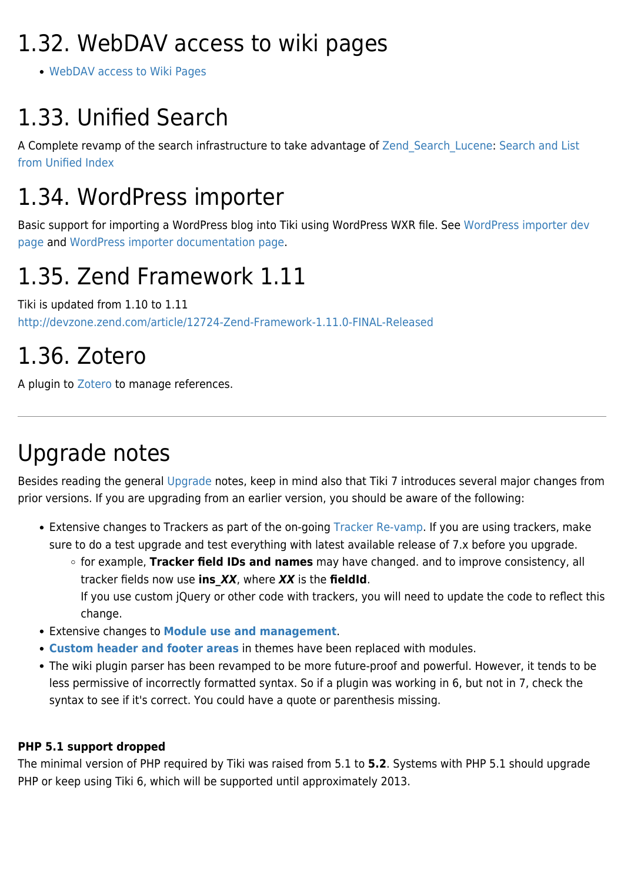## 1.32. WebDAV access to wiki pages

[WebDAV access to Wiki Pages](https://doc.tiki.org/WebDAV-access-to-Wiki-Pages)

# 1.33. Unified Search

A Complete revamp of the search infrastructure to take advantage of Zend Search Lucene: [Search and List](https://doc.tiki.org/Search-and-List-from-Unified-Index) [from Unified Index](https://doc.tiki.org/Search-and-List-from-Unified-Index)

# 1.34. WordPress importer

Basic support for importing a WordPress blog into Tiki using WordPress WXR file. See [WordPress importer dev](http://dev.tiki.org/WordPress%20importer) [page](http://dev.tiki.org/WordPress%20importer) and [WordPress importer documentation page](https://doc.tiki.org/WordPress-importer).

## 1.35. Zend Framework 1.11

Tiki is updated from 1.10 to 1.11 <http://devzone.zend.com/article/12724-Zend-Framework-1.11.0-FINAL-Released>

### 1.36. Zotero

A plugin to [Zotero](http://dev.tiki.org/Zotero) to manage references.

## Upgrade notes

Besides reading the general [Upgrade](https://doc.tiki.org/Upgrade) notes, keep in mind also that Tiki 7 introduces several major changes from prior versions. If you are upgrading from an earlier version, you should be aware of the following:

- Extensive changes to Trackers as part of the on-going [Tracker Re-vamp.](http://dev.tiki.org/tracker+roadmap) If you are using trackers, make sure to do a test upgrade and test everything with latest available release of 7.x before you upgrade.
	- for example, **Tracker field IDs and names** may have changed. and to improve consistency, all tracker fields now use **ins\_***XX*, where *XX* is the **fieldId**. If you use custom jQuery or other code with trackers, you will need to update the code to reflect this change.
- Extensive changes to **[Module use and management](http://dev.tiki.org/Modules+Revamp)**.
- **[Custom header and footer areas](http://themes.tiki.org/Theme+header+modules)** in themes have been replaced with modules.
- The wiki plugin parser has been revamped to be more future-proof and powerful. However, it tends to be less permissive of incorrectly formatted syntax. So if a plugin was working in 6, but not in 7, check the syntax to see if it's correct. You could have a quote or parenthesis missing.

#### **PHP 5.1 support dropped**

The minimal version of PHP required by Tiki was raised from 5.1 to **5.2**. Systems with PHP 5.1 should upgrade PHP or keep using Tiki 6, which will be supported until approximately 2013.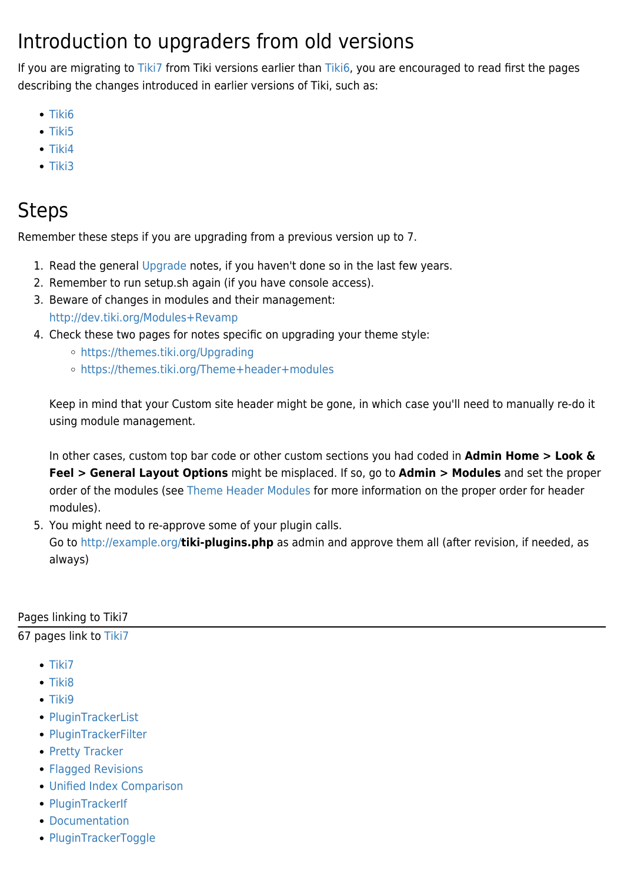#### Introduction to upgraders from old versions

If you are migrating to [Tiki7](https://doc.tiki.org/Tiki7) from Tiki versions earlier than [Tiki6,](https://doc.tiki.org/Tiki6) you are encouraged to read first the pages describing the changes introduced in earlier versions of Tiki, such as:

- $\bullet$  [Tiki6](https://doc.tiki.org/Tiki6)
- $\bullet$  [Tiki5](https://doc.tiki.org/Tiki5)
- $\bullet$  [Tiki4](https://doc.tiki.org/Tiki4)
- $\bullet$  [Tiki3](https://doc.tiki.org/Tiki3)

#### Steps

Remember these steps if you are upgrading from a previous version up to 7.

- 1. Read the general [Upgrade](http://doc.tiki.org/Upgrade&structure=Tiki+Installation+Guide) notes, if you haven't done so in the last few years.
- 2. Remember to run setup.sh again (if you have console access).
- 3. Beware of changes in modules and their management: <http://dev.tiki.org/Modules+Revamp>
- 4. Check these two pages for notes specific on upgrading your theme style:
	- <https://themes.tiki.org/Upgrading>
	- <https://themes.tiki.org/Theme+header+modules>

Keep in mind that your Custom site header might be gone, in which case you'll need to manually re-do it using module management.

In other cases, custom top bar code or other custom sections you had coded in **Admin Home > Look & Feel > General Layout Options** might be misplaced. If so, go to **Admin > Modules** and set the proper order of the modules (see [Theme Header Modules](http://themes.tiki.org/Theme+header+modules) for more information on the proper order for header modules).

5. You might need to re-approve some of your plugin calls.

Go to<http://example.org/>**tiki-plugins.php** as admin and approve them all (after revision, if needed, as always)

Pages linking to Tiki7

67 pages link to [Tiki7](https://doc.tiki.org/Tiki7)

- $\bullet$  [Tiki7](https://doc.tiki.org/Tiki7)
- [Tiki8](https://doc.tiki.org/Tiki8)
- $\bullet$  [Tiki9](https://doc.tiki.org/Tiki9)
- [PluginTrackerList](https://doc.tiki.org/PluginTrackerList)
- [PluginTrackerFilter](https://doc.tiki.org/PluginTrackerFilter)
- [Pretty Tracker](https://doc.tiki.org/Pretty-Tracker)
- [Flagged Revisions](https://doc.tiki.org/Flagged-Revisions)
- [Unified Index Comparison](https://doc.tiki.org/Unified-Index-Comparison)
- [PluginTrackerIf](https://doc.tiki.org/PluginTrackerIf)
- [Documentation](https://doc.tiki.org/Documentation)
- [PluginTrackerToggle](https://doc.tiki.org/PluginTrackerToggle)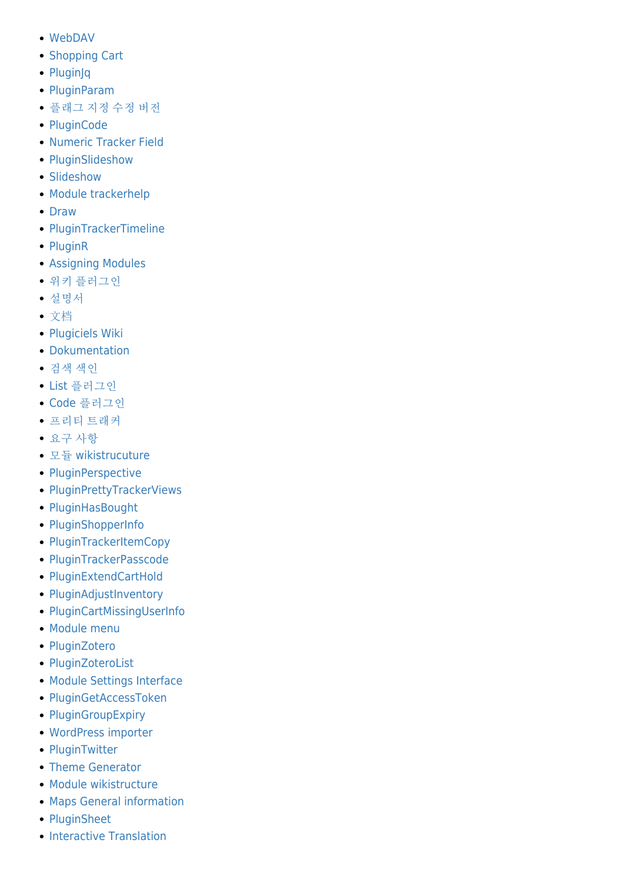- [WebDAV](https://doc.tiki.org/WebDAV)
- [Shopping Cart](https://doc.tiki.org/Shopping-Cart)
- [PluginJq](https://doc.tiki.org/PluginJq)
- [PluginParam](https://doc.tiki.org/PluginParam)
- [플래그 지정 수정 버전](https://doc.tiki.org/%ED%94%8C%EB%9E%98%EA%B7%B8-%EC%A7%80%EC%A0%95-%EC%88%98%EC%A0%95-%EB%B2%84%EC%A0%84)
- [PluginCode](https://doc.tiki.org/PluginCode)
- [Numeric Tracker Field](https://doc.tiki.org/Numeric-Tracker-Field)
- [PluginSlideshow](https://doc.tiki.org/PluginSlideshow)
- [Slideshow](https://doc.tiki.org/Slideshow)
- [Module trackerhelp](https://doc.tiki.org/Module-trackerhelp)
- [Draw](https://doc.tiki.org/Draw)
- [PluginTrackerTimeline](https://doc.tiki.org/PluginTrackerTimeline)
- [PluginR](https://doc.tiki.org/PluginR)
- [Assigning Modules](https://doc.tiki.org/Assigning-Modules)
- [위키 플러그인](https://doc.tiki.org/%EC%9C%84%ED%82%A4-%ED%94%8C%EB%9F%AC%EA%B7%B8%EC%9D%B8)
- [설명서](https://doc.tiki.org/%EC%84%A4%EB%AA%85%EC%84%9C)
- [文档](https://doc.tiki.org/%E6%96%87%E6%A1%A3)
- [Plugiciels Wiki](https://doc.tiki.org/Plugiciels-Wiki)
- [Dokumentation](https://doc.tiki.org/Dokumentation)
- [검색 색인](https://doc.tiki.org/%EA%B2%80%EC%83%89-%EC%83%89%EC%9D%B8)
- [List](https://doc.tiki.org/List-%ED%94%8C%EB%9F%AC%EA%B7%B8%EC%9D%B8) [플러그인](https://doc.tiki.org/List-%ED%94%8C%EB%9F%AC%EA%B7%B8%EC%9D%B8)
- [Code](https://doc.tiki.org/Code-%ED%94%8C%EB%9F%AC%EA%B7%B8%EC%9D%B8) [플러그인](https://doc.tiki.org/Code-%ED%94%8C%EB%9F%AC%EA%B7%B8%EC%9D%B8)
- [프리티 트래커](https://doc.tiki.org/%ED%94%84%EB%A6%AC%ED%8B%B0-%ED%8A%B8%EB%9E%98%EC%BB%A4)
- [요구 사항](https://doc.tiki.org/%EC%9A%94%EA%B5%AC-%EC%82%AC%ED%95%AD)
- [모듈](https://doc.tiki.org/%EB%AA%A8%EB%93%88-wikistrucuture) [wikistrucuture](https://doc.tiki.org/%EB%AA%A8%EB%93%88-wikistrucuture)
- [PluginPerspective](https://doc.tiki.org/PluginPerspective)
- [PluginPrettyTrackerViews](https://doc.tiki.org/PluginPrettyTrackerViews)
- [PluginHasBought](https://doc.tiki.org/PluginHasBought)
- [PluginShopperInfo](https://doc.tiki.org/PluginShopperInfo)
- [PluginTrackerItemCopy](https://doc.tiki.org/PluginTrackerItemCopy)
- [PluginTrackerPasscode](https://doc.tiki.org/PluginTrackerPasscode)
- [PluginExtendCartHold](https://doc.tiki.org/PluginExtendCartHold)
- [PluginAdjustInventory](https://doc.tiki.org/PluginAdjustInventory)
- [PluginCartMissingUserInfo](https://doc.tiki.org/PluginCartMissingUserInfo)
- [Module menu](https://doc.tiki.org/Module-menu)
- [PluginZotero](https://doc.tiki.org/PluginZotero)
- [PluginZoteroList](https://doc.tiki.org/PluginZoteroList)
- [Module Settings Interface](https://doc.tiki.org/Module-Settings-Interface)
- [PluginGetAccessToken](https://doc.tiki.org/PluginGetAccessToken)
- [PluginGroupExpiry](https://doc.tiki.org/PluginGroupExpiry)
- [WordPress importer](https://doc.tiki.org/WordPress-importer)
- [PluginTwitter](https://doc.tiki.org/PluginTwitter)
- [Theme Generator](https://doc.tiki.org/Theme-Generator)
- [Module wikistructure](https://doc.tiki.org/Module-wikistructure)
- [Maps General information](https://doc.tiki.org/Maps-General-information)
- [PluginSheet](https://doc.tiki.org/PluginSheet)
- [Interactive Translation](https://doc.tiki.org/Interactive-Translation)